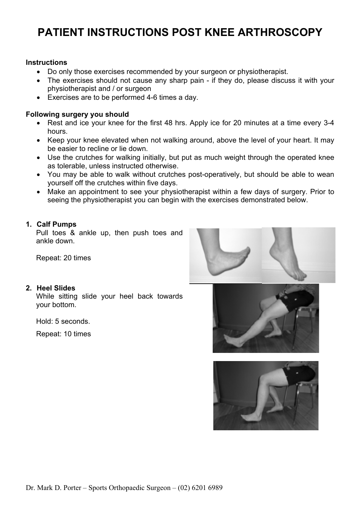# **PATIENT INSTRUCTIONS POST KNEE ARTHROSCOPY**

#### **Instructions**

- Do only those exercises recommended by your surgeon or physiotherapist.
- The exercises should not cause any sharp pain if they do, please discuss it with your physiotherapist and / or surgeon
- Exercises are to be performed 4-6 times a day.

#### **Following surgery you should**

- Rest and ice your knee for the first 48 hrs. Apply ice for 20 minutes at a time every 3-4 hours.
- Keep your knee elevated when not walking around, above the level of your heart. It may be easier to recline or lie down.
- Use the crutches for walking initially, but put as much weight through the operated knee as tolerable, unless instructed otherwise.
- You may be able to walk without crutches post-operatively, but should be able to wean yourself off the crutches within five days.
- Make an appointment to see your physiotherapist within a few days of surgery. Prior to seeing the physiotherapist you can begin with the exercises demonstrated below.

## **1. Calf Pumps**

Pull toes & ankle up, then push toes and ankle down.

Repeat: 20 times

#### **2. Heel Slides**

While sitting slide your heel back towards your bottom.

Hold: 5 seconds.

Repeat: 10 times